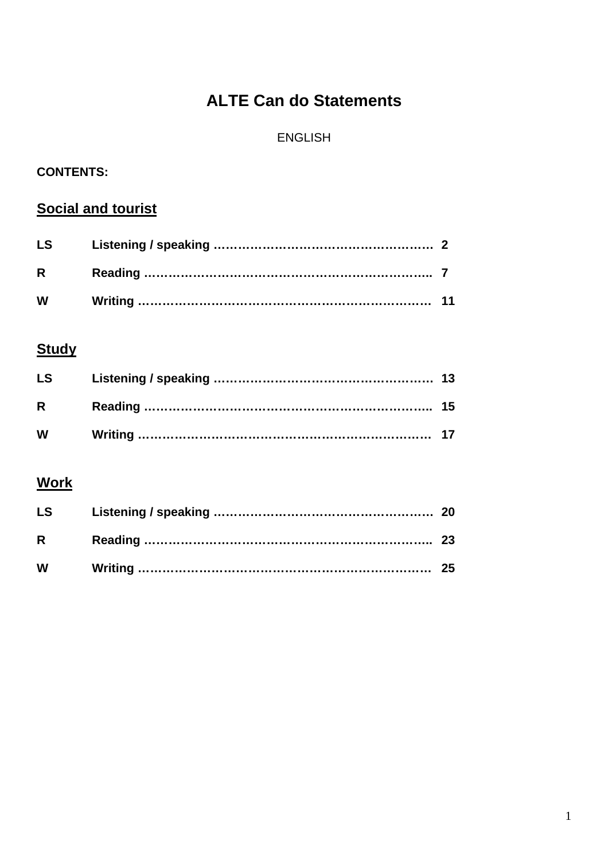## **ALTE Can do Statements**

## ENGLISH

## **CONTENTS:**

## **Social and tourist**

| <b>LS</b> |  |
|-----------|--|
| $R \sim$  |  |
| W         |  |

## **Study**

| <b>LS</b>    |  |
|--------------|--|
| $\mathsf{R}$ |  |
| <b>W</b>     |  |

## **Work**

| <b>LS</b>    |  |
|--------------|--|
| $\mathsf{R}$ |  |
| <b>W</b>     |  |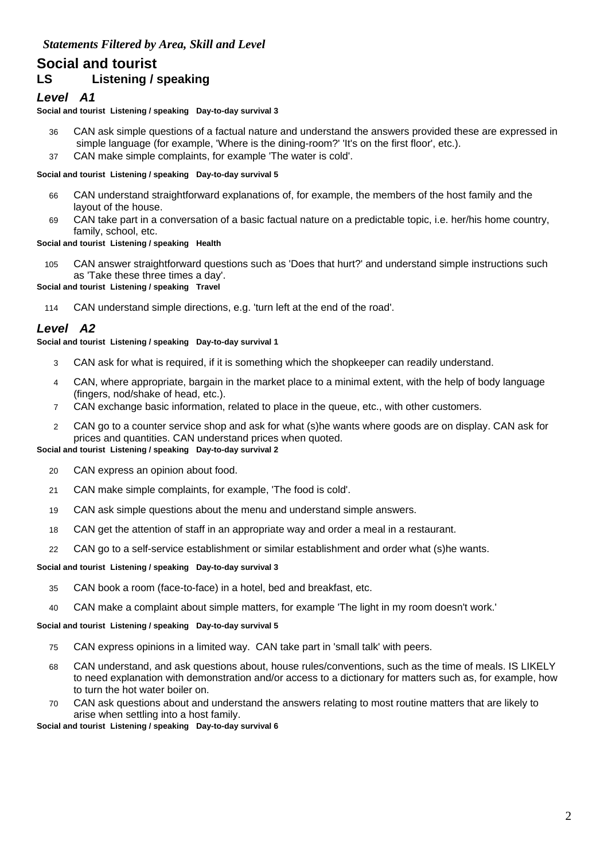# **Social and tourist**

## **LS Listening / speaking**

## *Level A1*

#### **Social and tourist Listening / speaking Day-to-day survival 3**

- 36 CAN ask simple questions of a factual nature and understand the answers provided these are expressed in simple language (for example, 'Where is the dining-room?' 'It's on the first floor', etc.).
- 37 CAN make simple complaints, for example 'The water is cold'.

#### **Social and tourist Listening / speaking Day-to-day survival 5**

- 66 CAN understand straightforward explanations of, for example, the members of the host family and the layout of the house.
- 69 CAN take part in a conversation of a basic factual nature on a predictable topic, i.e. her/his home country, family, school, etc.

#### **Social and tourist Listening / speaking Health**

105 CAN answer straightforward questions such as 'Does that hurt?' and understand simple instructions such as 'Take these three times a day'.

**Social and tourist Listening / speaking Travel**

114 CAN understand simple directions, e.g. 'turn left at the end of the road'.

## *Level A2*

#### **Social and tourist Listening / speaking Day-to-day survival 1**

- 3 CAN ask for what is required, if it is something which the shopkeeper can readily understand.
- 4 CAN, where appropriate, bargain in the market place to a minimal extent, with the help of body language (fingers, nod/shake of head, etc.).
- 7 CAN exchange basic information, related to place in the queue, etc., with other customers.
- 2 CAN go to a counter service shop and ask for what (s)he wants where goods are on display. CAN ask for prices and quantities. CAN understand prices when quoted.

#### **Social and tourist Listening / speaking Day-to-day survival 2**

- 20 CAN express an opinion about food.
- 21 CAN make simple complaints, for example, 'The food is cold'.
- 19 CAN ask simple questions about the menu and understand simple answers.
- 18 CAN get the attention of staff in an appropriate way and order a meal in a restaurant.
- 22 CAN go to a self-service establishment or similar establishment and order what (s)he wants.

#### **Social and tourist Listening / speaking Day-to-day survival 3**

- 35 CAN book a room (face-to-face) in a hotel, bed and breakfast, etc.
- 40 CAN make a complaint about simple matters, for example 'The light in my room doesn't work.'

#### **Social and tourist Listening / speaking Day-to-day survival 5**

- 75 CAN express opinions in a limited way. CAN take part in 'small talk' with peers.
- 68 CAN understand, and ask questions about, house rules/conventions, such as the time of meals. IS LIKELY to need explanation with demonstration and/or access to a dictionary for matters such as, for example, how to turn the hot water boiler on.
- 70 CAN ask questions about and understand the answers relating to most routine matters that are likely to arise when settling into a host family.

**Social and tourist Listening / speaking Day-to-day survival 6**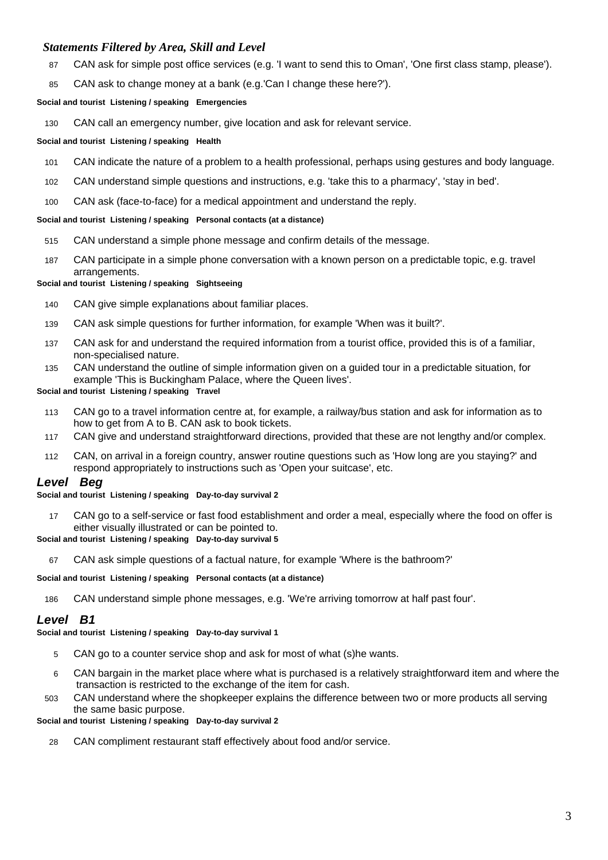- 87 CAN ask for simple post office services (e.g. 'I want to send this to Oman', 'One first class stamp, please').
- 85 CAN ask to change money at a bank (e.g.'Can I change these here?').

#### **Social and tourist Listening / speaking Emergencies**

130 CAN call an emergency number, give location and ask for relevant service.

#### **Social and tourist Listening / speaking Health**

- 101 CAN indicate the nature of a problem to a health professional, perhaps using gestures and body language.
- 102 CAN understand simple questions and instructions, e.g. 'take this to a pharmacy', 'stay in bed'.
- 100 CAN ask (face-to-face) for a medical appointment and understand the reply.

#### **Social and tourist Listening / speaking Personal contacts (at a distance)**

- 515 CAN understand a simple phone message and confirm details of the message.
- 187 CAN participate in a simple phone conversation with a known person on a predictable topic, e.g. travel arrangements.

#### **Social and tourist Listening / speaking Sightseeing**

- 140 CAN give simple explanations about familiar places.
- 139 CAN ask simple questions for further information, for example 'When was it built?'.
- 137 CAN ask for and understand the required information from a tourist office, provided this is of a familiar, non-specialised nature.
- 135 CAN understand the outline of simple information given on a guided tour in a predictable situation, for example 'This is Buckingham Palace, where the Queen lives'.

#### **Social and tourist Listening / speaking Travel**

- 113 CAN go to a travel information centre at, for example, a railway/bus station and ask for information as to how to get from A to B. CAN ask to book tickets.
- 117 CAN give and understand straightforward directions, provided that these are not lengthy and/or complex.
- 112 CAN, on arrival in a foreign country, answer routine questions such as 'How long are you staying?' and respond appropriately to instructions such as 'Open your suitcase', etc.

#### *Level Beg*

#### **Social and tourist Listening / speaking Day-to-day survival 2**

17 CAN go to a self-service or fast food establishment and order a meal, especially where the food on offer is either visually illustrated or can be pointed to.

#### **Social and tourist Listening / speaking Day-to-day survival 5**

67 CAN ask simple questions of a factual nature, for example 'Where is the bathroom?'

#### **Social and tourist Listening / speaking Personal contacts (at a distance)**

186 CAN understand simple phone messages, e.g. 'We're arriving tomorrow at half past four'.

#### *Level B1*

**Social and tourist Listening / speaking Day-to-day survival 1**

- 5 CAN go to a counter service shop and ask for most of what (s)he wants.
- 6 CAN bargain in the market place where what is purchased is a relatively straightforward item and where the transaction is restricted to the exchange of the item for cash.
- 503 CAN understand where the shopkeeper explains the difference between two or more products all serving the same basic purpose.

#### **Social and tourist Listening / speaking Day-to-day survival 2**

28 CAN compliment restaurant staff effectively about food and/or service.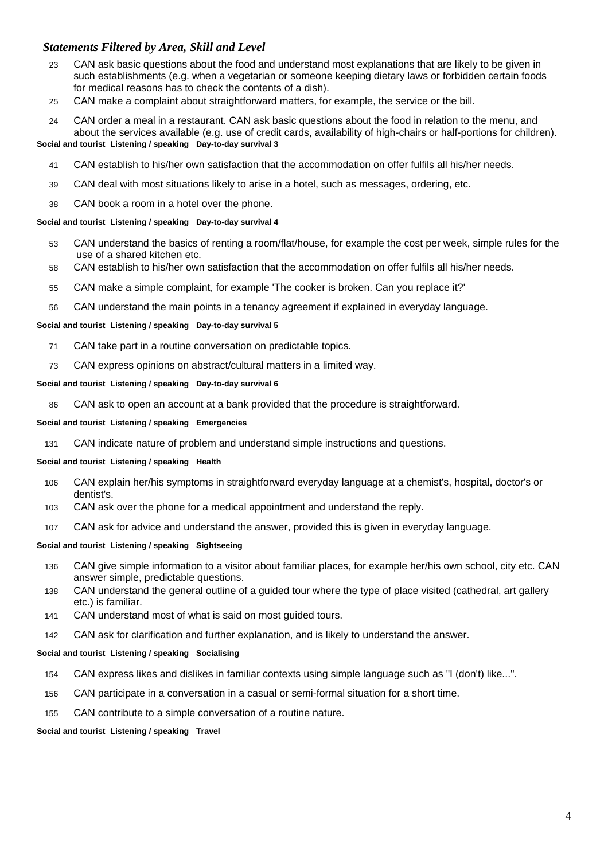- 23 CAN ask basic questions about the food and understand most explanations that are likely to be given in such establishments (e.g. when a vegetarian or someone keeping dietary laws or forbidden certain foods for medical reasons has to check the contents of a dish).
- 25 CAN make a complaint about straightforward matters, for example, the service or the bill.
- 24 CAN order a meal in a restaurant. CAN ask basic questions about the food in relation to the menu, and about the services available (e.g. use of credit cards, availability of high-chairs or half-portions for children). **Social and tourist Listening / speaking Day-to-day survival 3**
	- 41 CAN establish to his/her own satisfaction that the accommodation on offer fulfils all his/her needs.
	- 39 CAN deal with most situations likely to arise in a hotel, such as messages, ordering, etc.
	- 38 CAN book a room in a hotel over the phone.

#### **Social and tourist Listening / speaking Day-to-day survival 4**

- 53 CAN understand the basics of renting a room/flat/house, for example the cost per week, simple rules for the use of a shared kitchen etc.
- 58 CAN establish to his/her own satisfaction that the accommodation on offer fulfils all his/her needs.
- 55 CAN make a simple complaint, for example 'The cooker is broken. Can you replace it?'
- 56 CAN understand the main points in a tenancy agreement if explained in everyday language.

#### **Social and tourist Listening / speaking Day-to-day survival 5**

- 71 CAN take part in a routine conversation on predictable topics.
- 73 CAN express opinions on abstract/cultural matters in a limited way.

#### **Social and tourist Listening / speaking Day-to-day survival 6**

86 CAN ask to open an account at a bank provided that the procedure is straightforward.

#### **Social and tourist Listening / speaking Emergencies**

131 CAN indicate nature of problem and understand simple instructions and questions.

#### **Social and tourist Listening / speaking Health**

- 106 CAN explain her/his symptoms in straightforward everyday language at a chemist's, hospital, doctor's or dentist's.
- 103 CAN ask over the phone for a medical appointment and understand the reply.
- 107 CAN ask for advice and understand the answer, provided this is given in everyday language.

#### **Social and tourist Listening / speaking Sightseeing**

- 136 CAN give simple information to a visitor about familiar places, for example her/his own school, city etc. CAN answer simple, predictable questions.
- 138 CAN understand the general outline of a guided tour where the type of place visited (cathedral, art gallery etc.) is familiar.
- 141 CAN understand most of what is said on most guided tours.
- 142 CAN ask for clarification and further explanation, and is likely to understand the answer.

#### **Social and tourist Listening / speaking Socialising**

- 154 CAN express likes and dislikes in familiar contexts using simple language such as "I (don't) like...".
- 156 CAN participate in a conversation in a casual or semi-formal situation for a short time.
- 155 CAN contribute to a simple conversation of a routine nature.

#### **Social and tourist Listening / speaking Travel**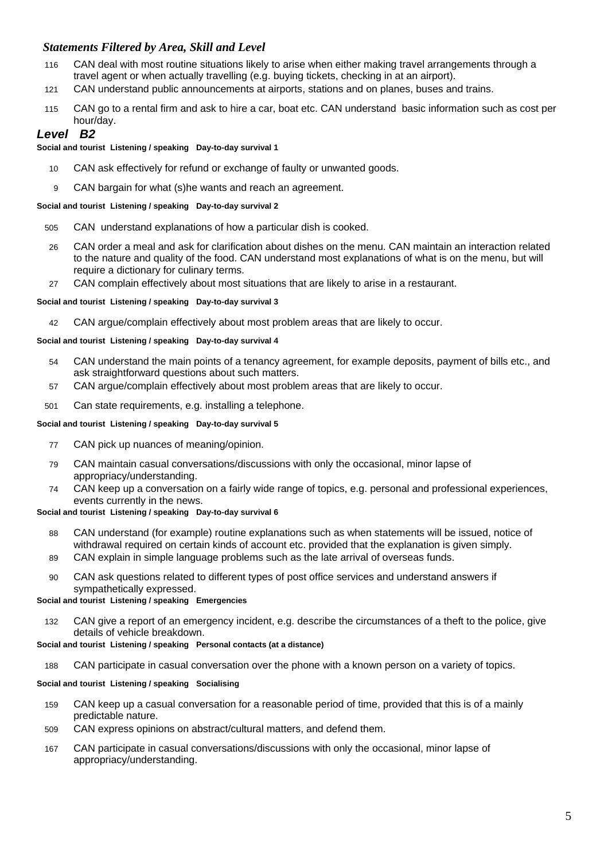- 116 CAN deal with most routine situations likely to arise when either making travel arrangements through a travel agent or when actually travelling (e.g. buying tickets, checking in at an airport).
- 121 CAN understand public announcements at airports, stations and on planes, buses and trains.
- 115 CAN go to a rental firm and ask to hire a car, boat etc. CAN understand basic information such as cost per hour/day.

## *Level B2*

#### **Social and tourist Listening / speaking Day-to-day survival 1**

- 10 CAN ask effectively for refund or exchange of faulty or unwanted goods.
- 9 CAN bargain for what (s)he wants and reach an agreement.

#### **Social and tourist Listening / speaking Day-to-day survival 2**

- 505 CAN understand explanations of how a particular dish is cooked.
- 26 CAN order a meal and ask for clarification about dishes on the menu. CAN maintain an interaction related to the nature and quality of the food. CAN understand most explanations of what is on the menu, but will require a dictionary for culinary terms.
- 27 CAN complain effectively about most situations that are likely to arise in a restaurant.

#### **Social and tourist Listening / speaking Day-to-day survival 3**

42 CAN argue/complain effectively about most problem areas that are likely to occur.

#### **Social and tourist Listening / speaking Day-to-day survival 4**

- 54 CAN understand the main points of a tenancy agreement, for example deposits, payment of bills etc., and ask straightforward questions about such matters.
- 57 CAN argue/complain effectively about most problem areas that are likely to occur.
- 501 Can state requirements, e.g. installing a telephone.

#### **Social and tourist Listening / speaking Day-to-day survival 5**

- 77 CAN pick up nuances of meaning/opinion.
- 79 CAN maintain casual conversations/discussions with only the occasional, minor lapse of appropriacy/understanding.
- 74 CAN keep up a conversation on a fairly wide range of topics, e.g. personal and professional experiences, events currently in the news.

#### **Social and tourist Listening / speaking Day-to-day survival 6**

- 88 CAN understand (for example) routine explanations such as when statements will be issued, notice of withdrawal required on certain kinds of account etc. provided that the explanation is given simply.
- 89 CAN explain in simple language problems such as the late arrival of overseas funds.
- 90 CAN ask questions related to different types of post office services and understand answers if sympathetically expressed.

#### **Social and tourist Listening / speaking Emergencies**

132 CAN give a report of an emergency incident, e.g. describe the circumstances of a theft to the police, give details of vehicle breakdown.

#### **Social and tourist Listening / speaking Personal contacts (at a distance)**

188 CAN participate in casual conversation over the phone with a known person on a variety of topics.

#### **Social and tourist Listening / speaking Socialising**

- 159 CAN keep up a casual conversation for a reasonable period of time, provided that this is of a mainly predictable nature.
- 509 CAN express opinions on abstract/cultural matters, and defend them.
- 167 CAN participate in casual conversations/discussions with only the occasional, minor lapse of appropriacy/understanding.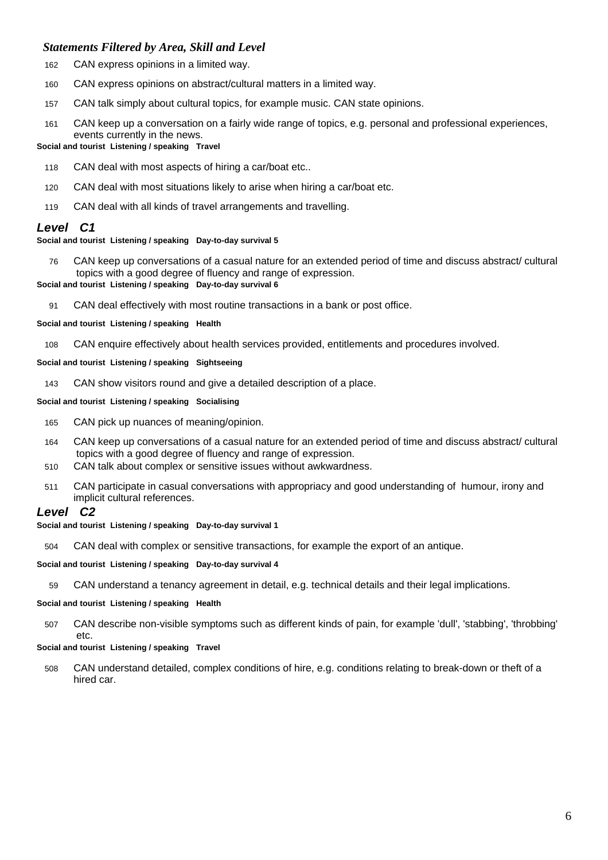- 162 CAN express opinions in a limited way.
- 160 CAN express opinions on abstract/cultural matters in a limited way.
- 157 CAN talk simply about cultural topics, for example music. CAN state opinions.
- 161 CAN keep up a conversation on a fairly wide range of topics, e.g. personal and professional experiences, events currently in the news.

#### **Social and tourist Listening / speaking Travel**

- 118 CAN deal with most aspects of hiring a car/boat etc..
- 120 CAN deal with most situations likely to arise when hiring a car/boat etc.
- 119 CAN deal with all kinds of travel arrangements and travelling.

## *Level C1*

#### **Social and tourist Listening / speaking Day-to-day survival 5**

76 CAN keep up conversations of a casual nature for an extended period of time and discuss abstract/ cultural topics with a good degree of fluency and range of expression.

#### **Social and tourist Listening / speaking Day-to-day survival 6**

91 CAN deal effectively with most routine transactions in a bank or post office.

#### **Social and tourist Listening / speaking Health**

108 CAN enquire effectively about health services provided, entitlements and procedures involved.

#### **Social and tourist Listening / speaking Sightseeing**

143 CAN show visitors round and give a detailed description of a place.

#### **Social and tourist Listening / speaking Socialising**

- 165 CAN pick up nuances of meaning/opinion.
- 164 CAN keep up conversations of a casual nature for an extended period of time and discuss abstract/ cultural topics with a good degree of fluency and range of expression.
- 510 CAN talk about complex or sensitive issues without awkwardness.
- 511 CAN participate in casual conversations with appropriacy and good understanding of humour, irony and implicit cultural references.

#### *Level C2*

#### **Social and tourist Listening / speaking Day-to-day survival 1**

504 CAN deal with complex or sensitive transactions, for example the export of an antique.

#### **Social and tourist Listening / speaking Day-to-day survival 4**

59 CAN understand a tenancy agreement in detail, e.g. technical details and their legal implications.

#### **Social and tourist Listening / speaking Health**

507 CAN describe non-visible symptoms such as different kinds of pain, for example 'dull', 'stabbing', 'throbbing' etc.

#### **Social and tourist Listening / speaking Travel**

508 CAN understand detailed, complex conditions of hire, e.g. conditions relating to break-down or theft of a hired car.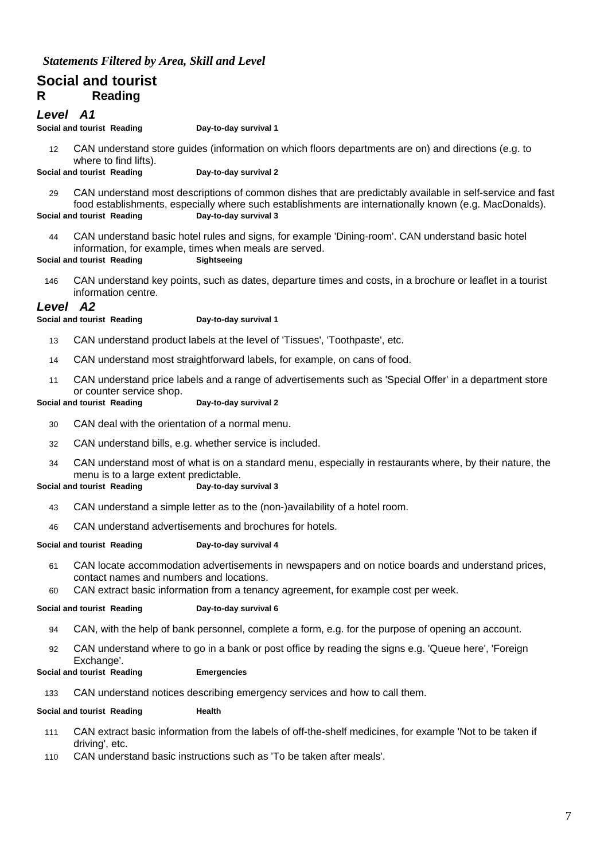## **Social and tourist R Reading**

### *Level A1*

**Social and tourist Reading Day-to-day survival 1**

12 CAN understand store guides (information on which floors departments are on) and directions (e.g. to where to find lifts).

**Social and tourist Reading Day-to-day survival 2**

29 CAN understand most descriptions of common dishes that are predictably available in self-service and fast food establishments, especially where such establishments are internationally known (e.g. MacDonalds). **Social and tourist Reading Day-to-day survival 3**

44 CAN understand basic hotel rules and signs, for example 'Dining-room'. CAN understand basic hotel information, for example, times when meals are served.

**Social and tourist Reading Sightseeing**

146 CAN understand key points, such as dates, departure times and costs, in a brochure or leaflet in a tourist information centre.

#### *Level A2*

**Social and tourist Reading <b>Day-to-day survival 1** 

- 13 CAN understand product labels at the level of 'Tissues', 'Toothpaste', etc.
- 14 CAN understand most straightforward labels, for example, on cans of food.
- 11 CAN understand price labels and a range of advertisements such as 'Special Offer' in a department store or counter service shop.

#### **Social and tourist Reading Day-to-day survival 2**

30 CAN deal with the orientation of a normal menu.

- 32 CAN understand bills, e.g. whether service is included.
- 34 CAN understand most of what is on a standard menu, especially in restaurants where, by their nature, the menu is to a large extent predictable.

#### **Social and tourist Reading Day-to-day survival 3**

- 43 CAN understand a simple letter as to the (non-)availability of a hotel room.
- 46 CAN understand advertisements and brochures for hotels.

#### **Social and tourist Reading Day-to-day survival 4**

- 61 CAN locate accommodation advertisements in newspapers and on notice boards and understand prices, contact names and numbers and locations.
- 60 CAN extract basic information from a tenancy agreement, for example cost per week.

#### **Social and tourist Reading Day-to-day survival 6**

- 94 CAN, with the help of bank personnel, complete a form, e.g. for the purpose of opening an account.
- 92 CAN understand where to go in a bank or post office by reading the signs e.g. 'Queue here', 'Foreign Exchange'.

#### **Social and tourist Reading Emergencies**

133 CAN understand notices describing emergency services and how to call them.

#### **Social and tourist Reading by Health**

- 111 CAN extract basic information from the labels of off-the-shelf medicines, for example 'Not to be taken if driving', etc.
- 110 CAN understand basic instructions such as 'To be taken after meals'.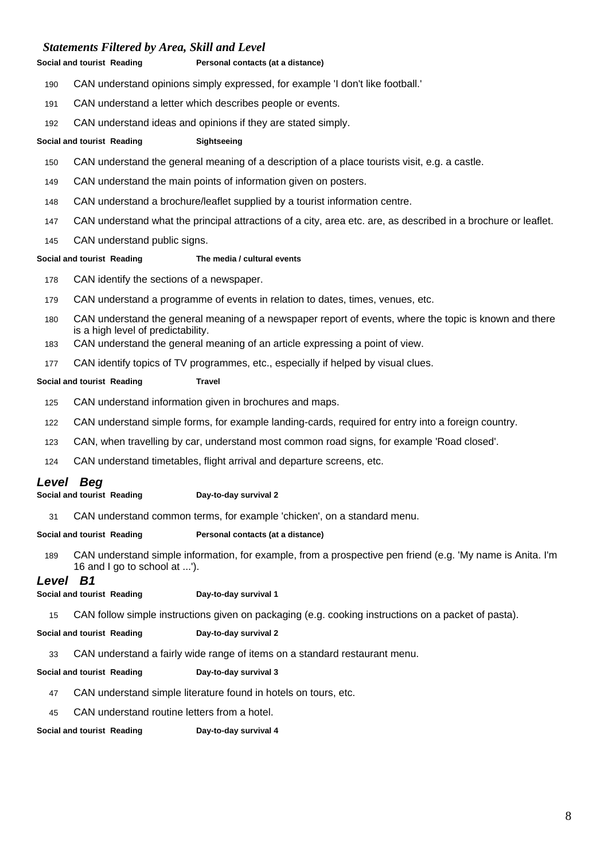#### **Social and tourist Reading Personal contacts (at a distance)**

- CAN understand opinions simply expressed, for example 'I don't like football.'
- CAN understand a letter which describes people or events.
- CAN understand ideas and opinions if they are stated simply.

#### **Social and tourist Reading Sightseeing**

- CAN understand the general meaning of a description of a place tourists visit, e.g. a castle.
- CAN understand the main points of information given on posters.
- CAN understand a brochure/leaflet supplied by a tourist information centre.
- CAN understand what the principal attractions of a city, area etc. are, as described in a brochure or leaflet.
- CAN understand public signs.
- 

#### **Social and tourist Reading The media / cultural events**

- CAN identify the sections of a newspaper.
- CAN understand a programme of events in relation to dates, times, venues, etc.
- CAN understand the general meaning of a newspaper report of events, where the topic is known and there is a high level of predictability.
- CAN understand the general meaning of an article expressing a point of view.
- CAN identify topics of TV programmes, etc., especially if helped by visual clues.

#### **Social and tourist Reading Travel**

- CAN understand information given in brochures and maps.
- CAN understand simple forms, for example landing-cards, required for entry into a foreign country.
- CAN, when travelling by car, understand most common road signs, for example 'Road closed'.
- CAN understand timetables, flight arrival and departure screens, etc.

## *Level Beg*

**Social and tourist Reading Day-to-day survival 2**

CAN understand common terms, for example 'chicken', on a standard menu.

#### **Social and tourist Reading Personal contacts (at a distance)**

 CAN understand simple information, for example, from a prospective pen friend (e.g. 'My name is Anita. I'm 16 and I go to school at ...').

### *Level B1*

**Social and tourist Reading Day-to-day survival 1**

CAN follow simple instructions given on packaging (e.g. cooking instructions on a packet of pasta).

**Social and tourist Reading Day-to-day survival 2**

CAN understand a fairly wide range of items on a standard restaurant menu.

**Social and tourist Reading Day-to-day survival 3**

- CAN understand simple literature found in hotels on tours, etc.
- CAN understand routine letters from a hotel.

**Social and tourist Reading Day-to-day survival 4**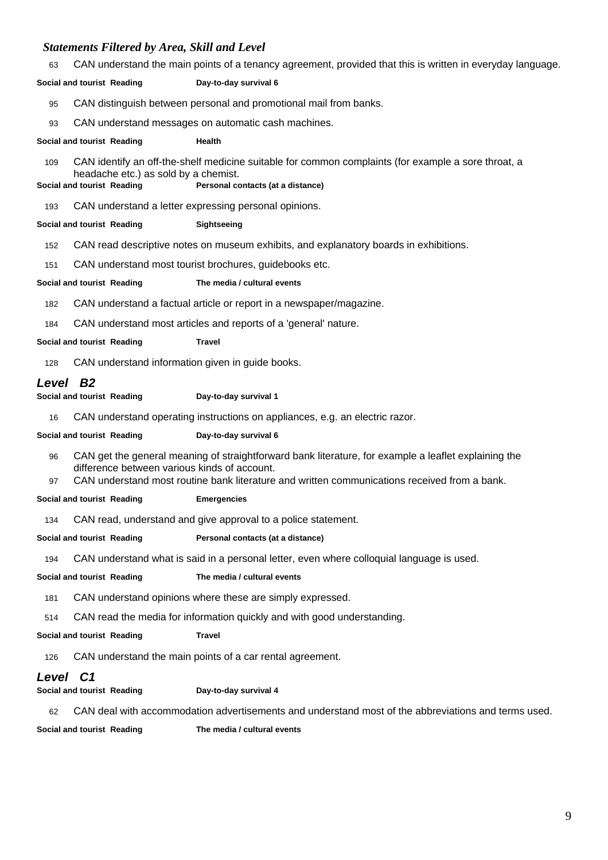63 CAN understand the main points of a tenancy agreement, provided that this is written in everyday language.

#### **Social and tourist Reading Day-to-day survival 6**

- 95 CAN distinguish between personal and promotional mail from banks.
- 93 CAN understand messages on automatic cash machines.

#### **Social and tourist Reading Health**

109 CAN identify an off-the-shelf medicine suitable for common complaints (for example a sore throat, a headache etc.) as sold by a chemist.

#### **Social and tourist Reading Personal contacts (at a distance)**

193 CAN understand a letter expressing personal opinions.

#### **Social and tourist Reading Sightseeing**

- 152 CAN read descriptive notes on museum exhibits, and explanatory boards in exhibitions.
- 151 CAN understand most tourist brochures, guidebooks etc.

#### **Social and tourist Reading The media / cultural events**

- 182 CAN understand a factual article or report in a newspaper/magazine.
- 184 CAN understand most articles and reports of a 'general' nature.

**Social and tourist Reading Travel**

128 CAN understand information given in guide books.

## *Level B2*

- **Social and tourist Reading <b>Day-to-day survival 1** 
	- 16 CAN understand operating instructions on appliances, e.g. an electric razor.

#### **Social and tourist Reading Day-to-day survival 6**

- 96 CAN get the general meaning of straightforward bank literature, for example a leaflet explaining the difference between various kinds of account.
- 97 CAN understand most routine bank literature and written communications received from a bank.

**Social and tourist Reading Emergencies**

134 CAN read, understand and give approval to a police statement.

**Social and tourist Reading Personal contacts (at a distance)**

194 CAN understand what is said in a personal letter, even where colloquial language is used.

**Social and tourist Reading The media / cultural events**

181 CAN understand opinions where these are simply expressed.

514 CAN read the media for information quickly and with good understanding.

**Social and tourist Reading <b>Travel** 

126 CAN understand the main points of a car rental agreement.

## *Level C1*

**Social and tourist Reading Day-to-day survival 4**

62 CAN deal with accommodation advertisements and understand most of the abbreviations and terms used.

**Social and tourist Reading The media / cultural events**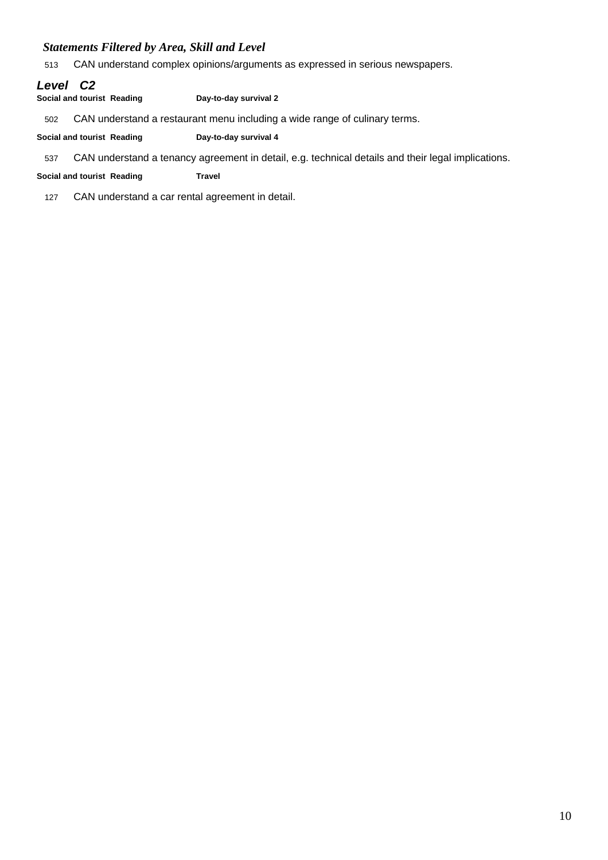513 CAN understand complex opinions/arguments as expressed in serious newspapers.

## *Level C2*

**Social and tourist Reading Day-to-day survival 2**

502 CAN understand a restaurant menu including a wide range of culinary terms.

**Social and tourist Reading Day-to-day survival 4**

537 CAN understand a tenancy agreement in detail, e.g. technical details and their legal implications.

#### **Social and tourist Reading Travel**

127 CAN understand a car rental agreement in detail.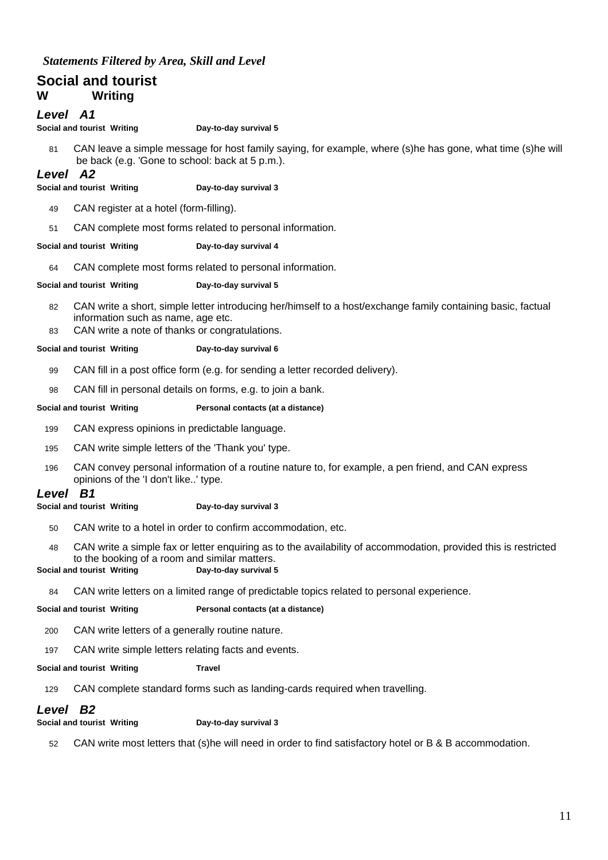## **Social and tourist W Writing**

#### *Level A1*

**Social and tourist Writing Day-to-day survival 5**

81 CAN leave a simple message for host family saying, for example, where (s)he has gone, what time (s)he will be back (e.g. 'Gone to school: back at 5 p.m.).

#### *Level A2*

#### **Social and tourist Writing Day-to-day survival 3**

- 49 CAN register at a hotel (form-filling).
- 51 CAN complete most forms related to personal information.

#### **Social and tourist Writing Day-to-day survival 4**

64 CAN complete most forms related to personal information.

#### **Social and tourist Writing Day-to-day survival 5**

- 82 CAN write a short, simple letter introducing her/himself to a host/exchange family containing basic, factual information such as name, age etc.
- 83 CAN write a note of thanks or congratulations.

#### **Social and tourist Writing Day-to-day survival 6**

- 99 CAN fill in a post office form (e.g. for sending a letter recorded delivery).
- 98 CAN fill in personal details on forms, e.g. to join a bank.

## **Social and tourist Writing Personal contacts (at a distance)**

- 199 CAN express opinions in predictable language.
- 195 CAN write simple letters of the 'Thank you' type.
- 196 CAN convey personal information of a routine nature to, for example, a pen friend, and CAN express opinions of the 'I don't like..' type.

#### *Level B1*

#### **Social and tourist Writing Day-to-day survival 3**

- 50 CAN write to a hotel in order to confirm accommodation, etc.
- 48 CAN write a simple fax or letter enquiring as to the availability of accommodation, provided this is restricted to the booking of a room and similar matters.

#### **Social and tourist Writing Day-to-day survival 5**

84 CAN write letters on a limited range of predictable topics related to personal experience.

#### **Social and tourist Writing Personal contacts (at a distance)**

- 200 CAN write letters of a generally routine nature.
- 197 CAN write simple letters relating facts and events.

#### **Social and tourist Writing <b>Travel**

129 CAN complete standard forms such as landing-cards required when travelling.

## *Level B2*

**Social and tourist Writing Day-to-day survival 3**

52 CAN write most letters that (s)he will need in order to find satisfactory hotel or B & B accommodation.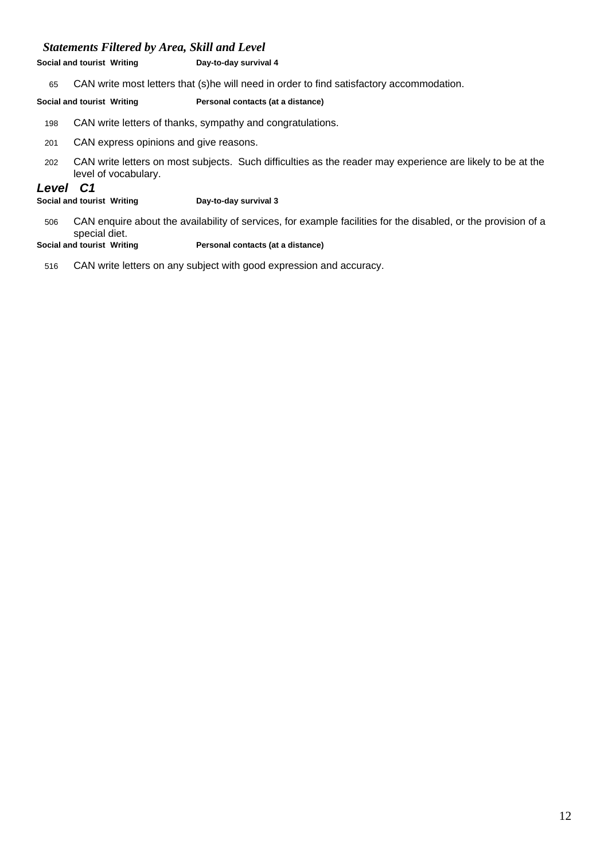**Social and tourist Writing Day-to-day survival 4**

65 CAN write most letters that (s)he will need in order to find satisfactory accommodation.

**Social and tourist Writing Personal contacts (at a distance)**

- 198 CAN write letters of thanks, sympathy and congratulations.
- 201 CAN express opinions and give reasons.
- 202 CAN write letters on most subjects. Such difficulties as the reader may experience are likely to be at the level of vocabulary.

#### *Level C1*

**Social and tourist Writing Day-to-day survival 3**

506 CAN enquire about the availability of services, for example facilities for the disabled, or the provision of a special diet.<br>Social and tourist Writing

**Personal contacts (at a distance)** 

516 CAN write letters on any subject with good expression and accuracy.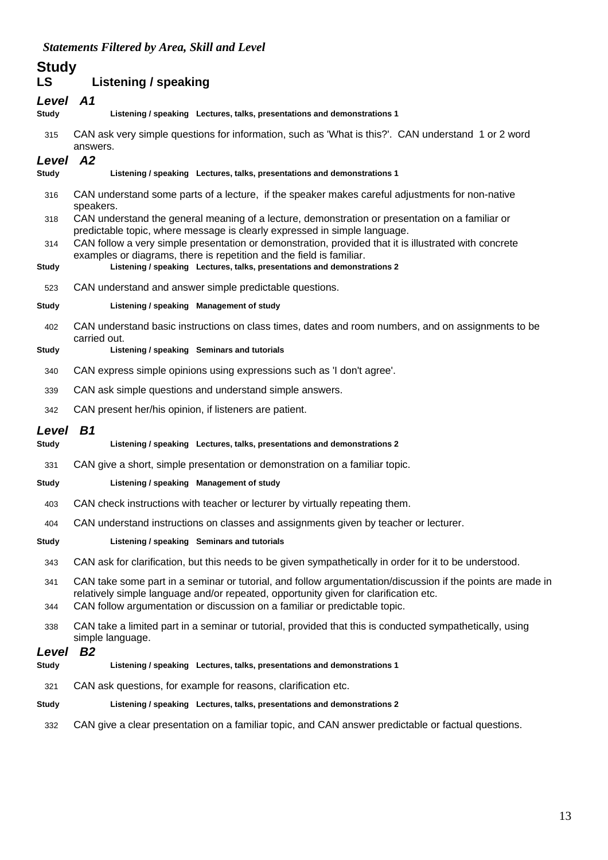|                    | suuements 1 illereu by Area, skill and Level                                                                                                                                  |
|--------------------|-------------------------------------------------------------------------------------------------------------------------------------------------------------------------------|
| <b>Study</b><br>LS | Listening / speaking                                                                                                                                                          |
| Level              | <b>A1</b>                                                                                                                                                                     |
| <b>Study</b>       | Listening / speaking Lectures, talks, presentations and demonstrations 1                                                                                                      |
| 315                | CAN ask very simple questions for information, such as 'What is this?'. CAN understand 1 or 2 word<br>answers.                                                                |
| Level              | <b>A2</b>                                                                                                                                                                     |
| <b>Study</b>       | Listening / speaking Lectures, talks, presentations and demonstrations 1                                                                                                      |
| 316                | CAN understand some parts of a lecture, if the speaker makes careful adjustments for non-native<br>speakers.                                                                  |
| 318                | CAN understand the general meaning of a lecture, demonstration or presentation on a familiar or<br>predictable topic, where message is clearly expressed in simple language.  |
| 314                | CAN follow a very simple presentation or demonstration, provided that it is illustrated with concrete<br>examples or diagrams, there is repetition and the field is familiar. |
| <b>Study</b>       | Listening / speaking Lectures, talks, presentations and demonstrations 2                                                                                                      |
| 523                | CAN understand and answer simple predictable questions.                                                                                                                       |
| <b>Study</b>       | Listening / speaking Management of study                                                                                                                                      |
| 402                | CAN understand basic instructions on class times, dates and room numbers, and on assignments to be<br>carried out.                                                            |
| Study              | Listening / speaking Seminars and tutorials                                                                                                                                   |
| 340                | CAN express simple opinions using expressions such as 'I don't agree'.                                                                                                        |

339 CAN ask simple questions and understand simple answers.

342 CAN present her/his opinion, if listeners are patient.

#### *Level B1*

**Study Listening / speaking Lectures, talks, presentations and demonstrations 2**

331 CAN give a short, simple presentation or demonstration on a familiar topic.

#### **Study Listening / speaking Management of study**

403 CAN check instructions with teacher or lecturer by virtually repeating them.

404 CAN understand instructions on classes and assignments given by teacher or lecturer.

#### **Study Listening / speaking Seminars and tutorials**

343 CAN ask for clarification, but this needs to be given sympathetically in order for it to be understood.

341 CAN take some part in a seminar or tutorial, and follow argumentation/discussion if the points are made in relatively simple language and/or repeated, opportunity given for clarification etc.

344 CAN follow argumentation or discussion on a familiar or predictable topic.

338 CAN take a limited part in a seminar or tutorial, provided that this is conducted sympathetically, using simple language.

#### *Level B2*

- **Study Listening / speaking Lectures, talks, presentations and demonstrations 1**
- 321 CAN ask questions, for example for reasons, clarification etc.

#### **Study Listening / speaking Lectures, talks, presentations and demonstrations 2**

332 CAN give a clear presentation on a familiar topic, and CAN answer predictable or factual questions.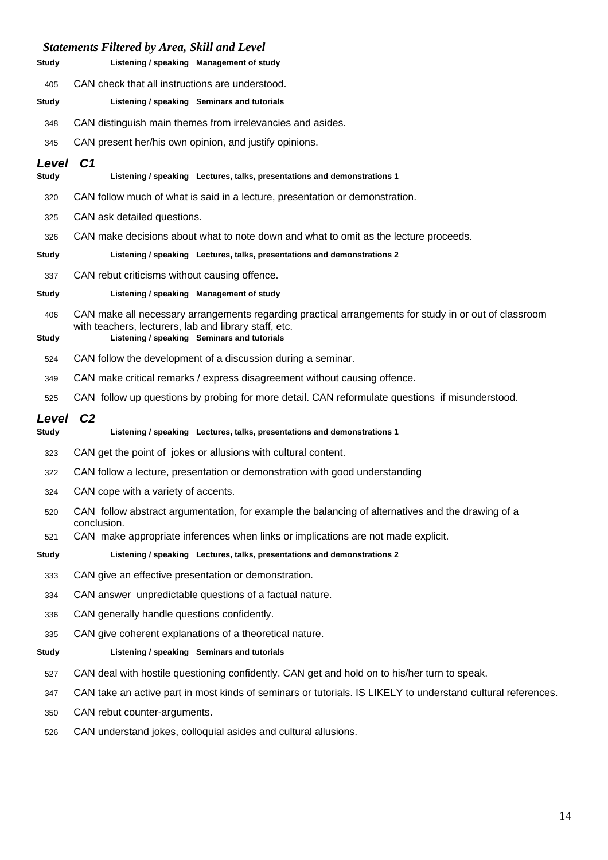| Study        | Listening / speaking Management of study                                                                         |
|--------------|------------------------------------------------------------------------------------------------------------------|
| 405          | CAN check that all instructions are understood.                                                                  |
| Study        | Listening / speaking Seminars and tutorials                                                                      |
| 348          | CAN distinguish main themes from irrelevancies and asides.                                                       |
| 345          | CAN present her/his own opinion, and justify opinions.                                                           |
| Level        | C <sub>1</sub>                                                                                                   |
| Study        | Listening / speaking Lectures, talks, presentations and demonstrations 1                                         |
| 320          | CAN follow much of what is said in a lecture, presentation or demonstration.                                     |
| 325          | CAN ask detailed questions.                                                                                      |
| 326          | CAN make decisions about what to note down and what to omit as the lecture proceeds.                             |
| <b>Study</b> | Listening / speaking Lectures, talks, presentations and demonstrations 2                                         |
| 337          | CAN rebut criticisms without causing offence.                                                                    |
| Study        | Listening / speaking Management of study                                                                         |
| 406          | CAN make all necessary arrangements regarding practical arrangements for study in or out of classroom            |
| <b>Study</b> | with teachers, lecturers, lab and library staff, etc.<br>Listening / speaking Seminars and tutorials             |
| 524          | CAN follow the development of a discussion during a seminar.                                                     |
| 349          | CAN make critical remarks / express disagreement without causing offence.                                        |
| 525          | CAN follow up questions by probing for more detail. CAN reformulate questions if misunderstood.                  |
| Level        | C <sub>2</sub>                                                                                                   |
| <b>Study</b> | Listening / speaking Lectures, talks, presentations and demonstrations 1                                         |
| 323          | CAN get the point of jokes or allusions with cultural content.                                                   |
| 322          | CAN follow a lecture, presentation or demonstration with good understanding                                      |
| 324          | CAN cope with a variety of accents.                                                                              |
| 520          | CAN follow abstract argumentation, for example the balancing of alternatives and the drawing of a<br>conclusion. |
| 521          | CAN make appropriate inferences when links or implications are not made explicit.                                |
| <b>Study</b> | Listening / speaking Lectures, talks, presentations and demonstrations 2                                         |
| 333          | CAN give an effective presentation or demonstration.                                                             |
| 334          | CAN answer unpredictable questions of a factual nature.                                                          |
| 336          | CAN generally handle questions confidently.                                                                      |
| 335          | CAN give coherent explanations of a theoretical nature.                                                          |
| <b>Study</b> | Listening / speaking Seminars and tutorials                                                                      |
| 527          | CAN deal with hostile questioning confidently. CAN get and hold on to his/her turn to speak.                     |
| 347          | CAN take an active part in most kinds of seminars or tutorials. IS LIKELY to understand cultural references.     |
| 350          | CAN rebut counter-arguments.                                                                                     |
| 526          | CAN understand jokes, colloquial asides and cultural allusions.                                                  |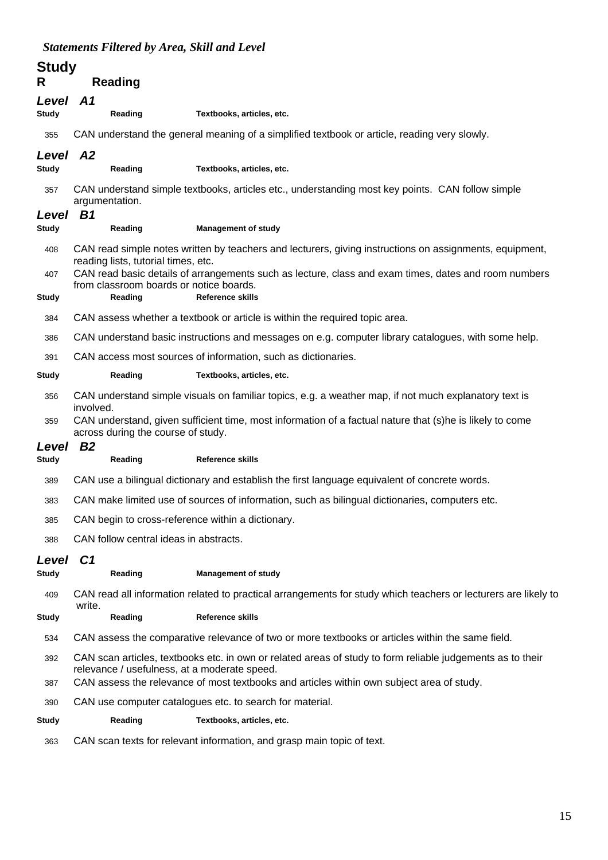| <b>Study</b><br>R     | <b>Reading</b>                                     |                                                                                                                                                                                                         |
|-----------------------|----------------------------------------------------|---------------------------------------------------------------------------------------------------------------------------------------------------------------------------------------------------------|
| Level<br><b>Study</b> | A <sub>1</sub><br>Reading                          | Textbooks, articles, etc.                                                                                                                                                                               |
| 355                   |                                                    | CAN understand the general meaning of a simplified textbook or article, reading very slowly.                                                                                                            |
| Level<br><b>Study</b> | A2<br>Reading                                      | Textbooks, articles, etc.                                                                                                                                                                               |
| 357                   | argumentation.<br>B1                               | CAN understand simple textbooks, articles etc., understanding most key points. CAN follow simple                                                                                                        |
| Level<br><b>Study</b> | Reading                                            | <b>Management of study</b>                                                                                                                                                                              |
| 408                   | reading lists, tutorial times, etc.                | CAN read simple notes written by teachers and lecturers, giving instructions on assignments, equipment,                                                                                                 |
| 407<br>Study          | from classroom boards or notice boards.<br>Reading | CAN read basic details of arrangements such as lecture, class and exam times, dates and room numbers<br><b>Reference skills</b>                                                                         |
| 384                   |                                                    | CAN assess whether a textbook or article is within the required topic area.                                                                                                                             |
| 386                   |                                                    | CAN understand basic instructions and messages on e.g. computer library catalogues, with some help.                                                                                                     |
| 391                   |                                                    | CAN access most sources of information, such as dictionaries.                                                                                                                                           |
| <b>Study</b>          | Reading                                            | Textbooks, articles, etc.                                                                                                                                                                               |
| 356                   | involved.                                          | CAN understand simple visuals on familiar topics, e.g. a weather map, if not much explanatory text is                                                                                                   |
| 359                   | across during the course of study.                 | CAN understand, given sufficient time, most information of a factual nature that (s)he is likely to come                                                                                                |
| Level<br><b>Study</b> | B <sub>2</sub><br>Reading                          | <b>Reference skills</b>                                                                                                                                                                                 |
| 389                   |                                                    | CAN use a bilingual dictionary and establish the first language equivalent of concrete words.                                                                                                           |
| 383                   |                                                    | CAN make limited use of sources of information, such as bilingual dictionaries, computers etc.                                                                                                          |
| 385                   | CAN begin to cross-reference within a dictionary.  |                                                                                                                                                                                                         |
| 388                   | CAN follow central ideas in abstracts.             |                                                                                                                                                                                                         |
| Level<br><b>Study</b> | C1<br>Reading                                      | <b>Management of study</b>                                                                                                                                                                              |
| 409                   | write.                                             | CAN read all information related to practical arrangements for study which teachers or lecturers are likely to                                                                                          |
| Study                 | Reading                                            | <b>Reference skills</b>                                                                                                                                                                                 |
| 534                   |                                                    | CAN assess the comparative relevance of two or more textbooks or articles within the same field.                                                                                                        |
| 392<br>387            | relevance / usefulness, at a moderate speed.       | CAN scan articles, textbooks etc. in own or related areas of study to form reliable judgements as to their<br>CAN assess the relevance of most textbooks and articles within own subject area of study. |
| 390                   |                                                    | CAN use computer catalogues etc. to search for material.                                                                                                                                                |
| Study                 | Reading                                            | Textbooks, articles, etc.                                                                                                                                                                               |
| 363                   |                                                    | CAN scan texts for relevant information, and grasp main topic of text.                                                                                                                                  |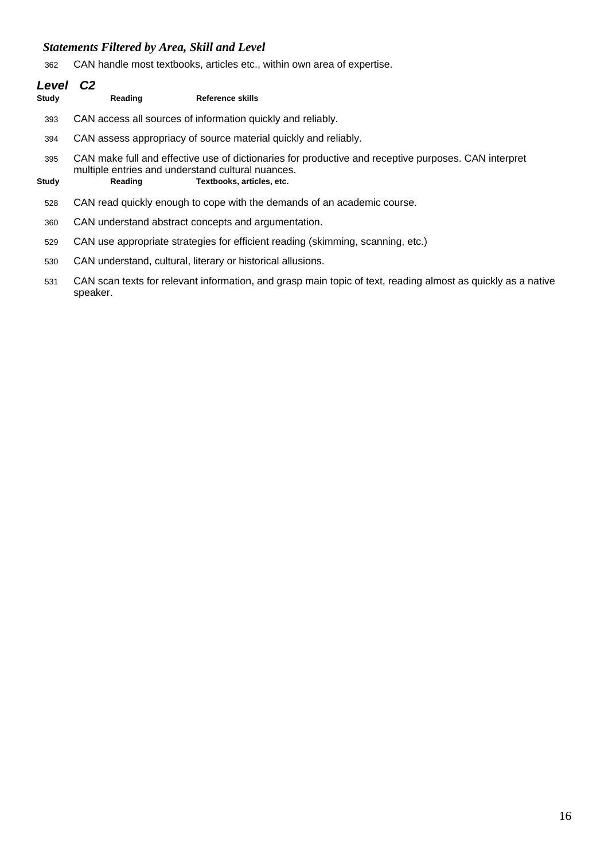CAN handle most textbooks, articles etc., within own area of expertise.

| Level<br>Study | C2<br>Reading                                     | Reference skills                                                                                     |
|----------------|---------------------------------------------------|------------------------------------------------------------------------------------------------------|
| 393            |                                                   | CAN access all sources of information quickly and reliably.                                          |
| 394            |                                                   | CAN assess appropriacy of source material quickly and reliably.                                      |
| 395            | multiple entries and understand cultural nuances. | CAN make full and effective use of dictionaries for productive and receptive purposes. CAN interpret |
| Study          | Reading                                           | Textbooks, articles, etc.                                                                            |
| 528            |                                                   | CAN read quickly enough to cope with the demands of an academic course.                              |
| 360            |                                                   | CAN understand abstract concepts and argumentation.                                                  |
| 529            |                                                   | CAN use appropriate strategies for efficient reading (skimming, scanning, etc.)                      |
| 530            |                                                   | CAN understand, cultural, literary or historical allusions.                                          |
|                |                                                   |                                                                                                      |

 CAN scan texts for relevant information, and grasp main topic of text, reading almost as quickly as a native speaker.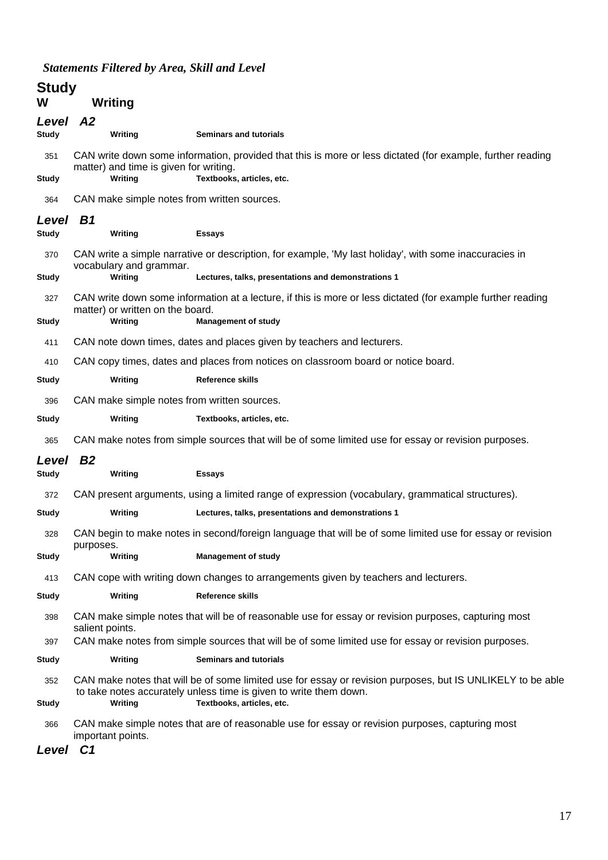# **Study**

| W        | <b>Writing</b> |
|----------|----------------|
| $l$ oval | - 70           |

| Level<br>Studv        | A2<br>Writing                                     | <b>Seminars and tutorials</b>                                                                                                                                                                                |
|-----------------------|---------------------------------------------------|--------------------------------------------------------------------------------------------------------------------------------------------------------------------------------------------------------------|
| 351                   |                                                   | CAN write down some information, provided that this is more or less dictated (for example, further reading                                                                                                   |
| Study                 | matter) and time is given for writing.<br>Writing | Textbooks, articles, etc.                                                                                                                                                                                    |
| 364                   | CAN make simple notes from written sources.       |                                                                                                                                                                                                              |
| Level<br><b>Study</b> | <b>B1</b><br>Writing                              | <b>Essays</b>                                                                                                                                                                                                |
| 370<br>Study          | vocabulary and grammar.<br>Writing                | CAN write a simple narrative or description, for example, 'My last holiday', with some inaccuracies in<br>Lectures, talks, presentations and demonstrations 1                                                |
|                       |                                                   |                                                                                                                                                                                                              |
| 327<br>Study          | matter) or written on the board.<br>Writing       | CAN write down some information at a lecture, if this is more or less dictated (for example further reading<br><b>Management of study</b>                                                                    |
| 411                   |                                                   | CAN note down times, dates and places given by teachers and lecturers.                                                                                                                                       |
| 410                   |                                                   | CAN copy times, dates and places from notices on classroom board or notice board.                                                                                                                            |
| Study                 | Writing                                           | <b>Reference skills</b>                                                                                                                                                                                      |
| 396                   | CAN make simple notes from written sources.       |                                                                                                                                                                                                              |
| <b>Study</b>          | Writing                                           | Textbooks, articles, etc.                                                                                                                                                                                    |
| 365                   |                                                   | CAN make notes from simple sources that will be of some limited use for essay or revision purposes.                                                                                                          |
| Level                 | <b>B2</b>                                         |                                                                                                                                                                                                              |
| <b>Study</b>          | Writing                                           | <b>Essays</b>                                                                                                                                                                                                |
| 372                   |                                                   | CAN present arguments, using a limited range of expression (vocabulary, grammatical structures).                                                                                                             |
| Study                 | Writing                                           | Lectures, talks, presentations and demonstrations 1                                                                                                                                                          |
| 328                   | purposes.                                         | CAN begin to make notes in second/foreign language that will be of some limited use for essay or revision                                                                                                    |
| Study                 | Writing                                           | <b>Management of study</b>                                                                                                                                                                                   |
| 413                   |                                                   | CAN cope with writing down changes to arrangements given by teachers and lecturers.                                                                                                                          |
| <b>Study</b>          | Writing                                           | <b>Reference skills</b>                                                                                                                                                                                      |
| 398                   | salient points.                                   | CAN make simple notes that will be of reasonable use for essay or revision purposes, capturing most                                                                                                          |
| 397                   |                                                   | CAN make notes from simple sources that will be of some limited use for essay or revision purposes.                                                                                                          |
| Study                 | Writing                                           | <b>Seminars and tutorials</b>                                                                                                                                                                                |
| 352<br><b>Study</b>   | Writing                                           | CAN make notes that will be of some limited use for essay or revision purposes, but IS UNLIKELY to be able<br>to take notes accurately unless time is given to write them down.<br>Textbooks, articles, etc. |
|                       |                                                   |                                                                                                                                                                                                              |

366 CAN make simple notes that are of reasonable use for essay or revision purposes, capturing most important points.

*Level C1*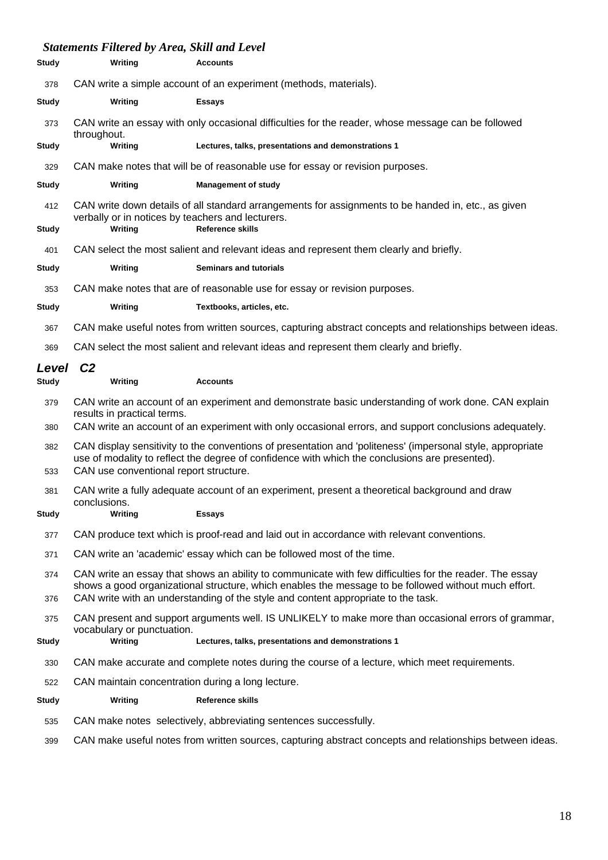| <b>Study</b>        | Writing                                | <b>Accounts</b>                                                                                                                                                                                                 |
|---------------------|----------------------------------------|-----------------------------------------------------------------------------------------------------------------------------------------------------------------------------------------------------------------|
| 378                 |                                        | CAN write a simple account of an experiment (methods, materials).                                                                                                                                               |
| <b>Study</b>        | Writing                                | <b>Essays</b>                                                                                                                                                                                                   |
| 373                 | throughout.                            | CAN write an essay with only occasional difficulties for the reader, whose message can be followed                                                                                                              |
| <b>Study</b>        | Writing                                | Lectures, talks, presentations and demonstrations 1                                                                                                                                                             |
| 329                 |                                        | CAN make notes that will be of reasonable use for essay or revision purposes.                                                                                                                                   |
| <b>Study</b>        | Writing                                | <b>Management of study</b>                                                                                                                                                                                      |
| 412<br><b>Study</b> | Writing                                | CAN write down details of all standard arrangements for assignments to be handed in, etc., as given<br>verbally or in notices by teachers and lecturers.<br>Reference skills                                    |
| 401                 |                                        | CAN select the most salient and relevant ideas and represent them clearly and briefly.                                                                                                                          |
| <b>Study</b>        | Writing                                | <b>Seminars and tutorials</b>                                                                                                                                                                                   |
| 353                 |                                        | CAN make notes that are of reasonable use for essay or revision purposes.                                                                                                                                       |
| Study               | Writing                                | Textbooks, articles, etc.                                                                                                                                                                                       |
| 367                 |                                        | CAN make useful notes from written sources, capturing abstract concepts and relationships between ideas.                                                                                                        |
| 369                 |                                        | CAN select the most salient and relevant ideas and represent them clearly and briefly.                                                                                                                          |
| Level               | C <sub>2</sub>                         |                                                                                                                                                                                                                 |
| <b>Study</b>        | Writing                                | <b>Accounts</b>                                                                                                                                                                                                 |
| 379                 | results in practical terms.            | CAN write an account of an experiment and demonstrate basic understanding of work done. CAN explain<br>CAN write an account of an experiment with only occasional errors, and support conclusions adequately.   |
| 380                 |                                        |                                                                                                                                                                                                                 |
| 382<br>533          | CAN use conventional report structure. | CAN display sensitivity to the conventions of presentation and 'politeness' (impersonal style, appropriate<br>use of modality to reflect the degree of confidence with which the conclusions are presented).    |
| 381                 |                                        | CAN write a fully adequate account of an experiment, present a theoretical background and draw                                                                                                                  |
| Study               | conclusions.<br>Writing                | Essays                                                                                                                                                                                                          |
| 377                 |                                        | CAN produce text which is proof-read and laid out in accordance with relevant conventions.                                                                                                                      |
| 371                 |                                        | CAN write an 'academic' essay which can be followed most of the time.                                                                                                                                           |
| 374                 |                                        | CAN write an essay that shows an ability to communicate with few difficulties for the reader. The essay<br>shows a good organizational structure, which enables the message to be followed without much effort. |
| 376                 |                                        | CAN write with an understanding of the style and content appropriate to the task.                                                                                                                               |
| 375                 |                                        | CAN present and support arguments well. IS UNLIKELY to make more than occasional errors of grammar,                                                                                                             |
| <b>Study</b>        | vocabulary or punctuation.<br>Writing  | Lectures, talks, presentations and demonstrations 1                                                                                                                                                             |
| 330                 |                                        | CAN make accurate and complete notes during the course of a lecture, which meet requirements.                                                                                                                   |
| 522                 |                                        | CAN maintain concentration during a long lecture.                                                                                                                                                               |
| <b>Study</b>        | Writing                                | Reference skills                                                                                                                                                                                                |
| 535                 |                                        | CAN make notes selectively, abbreviating sentences successfully.                                                                                                                                                |
| 399                 |                                        | CAN make useful notes from written sources, capturing abstract concepts and relationships between ideas.                                                                                                        |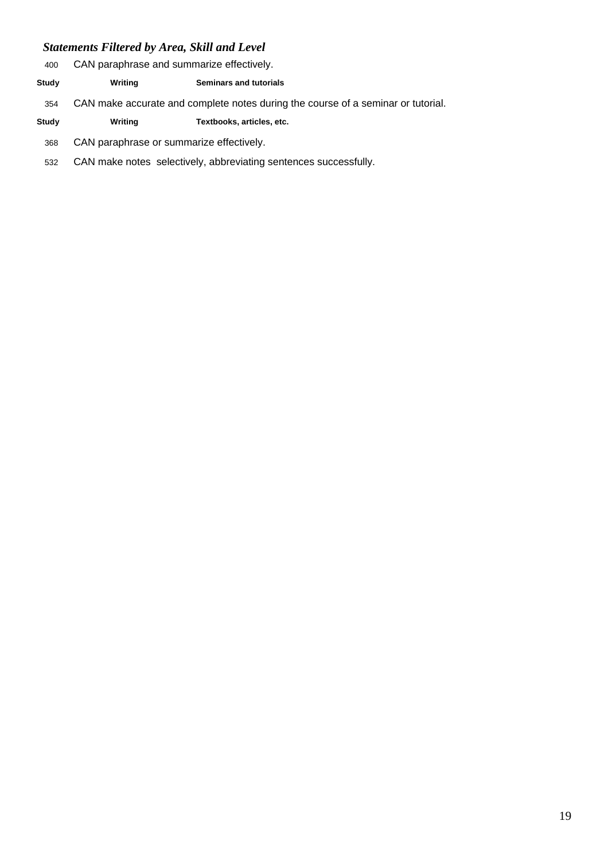- CAN paraphrase and summarize effectively.
- **Study Writing Seminars and tutorials**
- CAN make accurate and complete notes during the course of a seminar or tutorial.
- **Study Writing Textbooks, articles, etc.**
- CAN paraphrase or summarize effectively.
- CAN make notes selectively, abbreviating sentences successfully.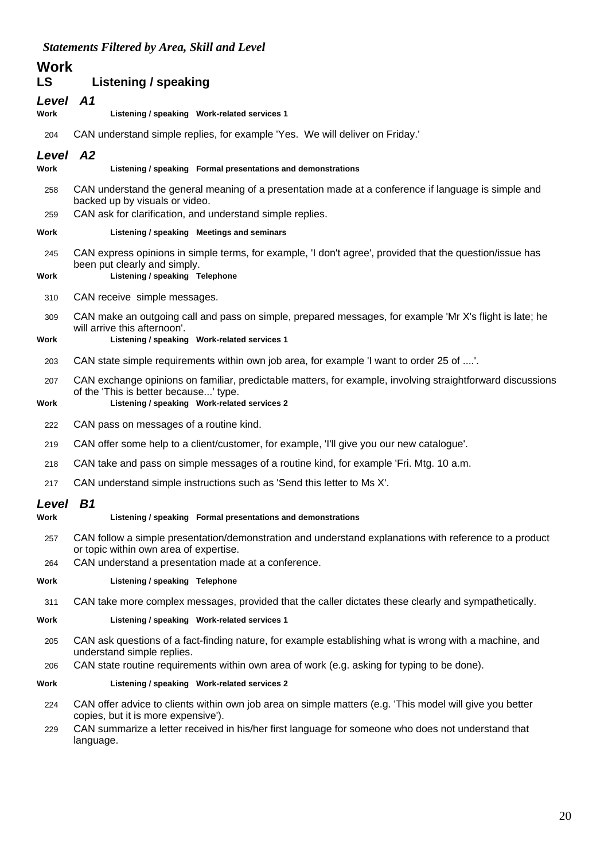| <b>Work</b>      |                                                                                                                                                                                                                                                       |
|------------------|-------------------------------------------------------------------------------------------------------------------------------------------------------------------------------------------------------------------------------------------------------|
| LS               | Listening / speaking                                                                                                                                                                                                                                  |
| Level A1<br>Work | Listening / speaking Work-related services 1                                                                                                                                                                                                          |
| 204              | CAN understand simple replies, for example 'Yes. We will deliver on Friday.'                                                                                                                                                                          |
| Level A2<br>Work | Listening / speaking Formal presentations and demonstrations                                                                                                                                                                                          |
| 258<br>259       | CAN understand the general meaning of a presentation made at a conference if language is simple and<br>backed up by visuals or video.<br>CAN ask for clarification, and understand simple replies.                                                    |
| Work             | Listening / speaking Meetings and seminars                                                                                                                                                                                                            |
| 245<br>Work      | CAN express opinions in simple terms, for example, 'I don't agree', provided that the question/issue has<br>been put clearly and simply.<br>Listening / speaking Telephone                                                                            |
| 310              | CAN receive simple messages.                                                                                                                                                                                                                          |
| 309<br>Work      | CAN make an outgoing call and pass on simple, prepared messages, for example 'Mr X's flight is late; he<br>will arrive this afternoon'.<br>Listening / speaking Work-related services 1                                                               |
| 203              | CAN state simple requirements within own job area, for example 'I want to order 25 of '.                                                                                                                                                              |
| 207<br>Work      | CAN exchange opinions on familiar, predictable matters, for example, involving straightforward discussions<br>of the 'This is better because' type.<br>Listening / speaking Work-related services 2                                                   |
|                  | CAN pass on messages of a routine kind.                                                                                                                                                                                                               |
| 222              | CAN offer some help to a client/customer, for example, I'll give you our new catalogue'.                                                                                                                                                              |
| 219              |                                                                                                                                                                                                                                                       |
| 218              | CAN take and pass on simple messages of a routine kind, for example 'Fri. Mtg. 10 a.m.                                                                                                                                                                |
| 217              | CAN understand simple instructions such as 'Send this letter to Ms X'.                                                                                                                                                                                |
| Level B1<br>Work | Listening / speaking Formal presentations and demonstrations                                                                                                                                                                                          |
| 257              | CAN follow a simple presentation/demonstration and understand explanations with reference to a product<br>or topic within own area of expertise.<br>CAN understand a presentation made at a conference.                                               |
| 264<br>Work      | Listening / speaking Telephone                                                                                                                                                                                                                        |
|                  |                                                                                                                                                                                                                                                       |
| 311<br>Work      | CAN take more complex messages, provided that the caller dictates these clearly and sympathetically.<br>Listening / speaking Work-related services 1                                                                                                  |
|                  | CAN ask questions of a fact-finding nature, for example establishing what is wrong with a machine, and                                                                                                                                                |
| 205<br>206       | understand simple replies.<br>CAN state routine requirements within own area of work (e.g. asking for typing to be done).                                                                                                                             |
| Work             | Listening / speaking Work-related services 2                                                                                                                                                                                                          |
| 224              | CAN offer advice to clients within own job area on simple matters (e.g. 'This model will give you better<br>copies, but it is more expensive').<br>CAN summarize a letter received in his/her first language for someone who does not understand that |
| 229              | language.                                                                                                                                                                                                                                             |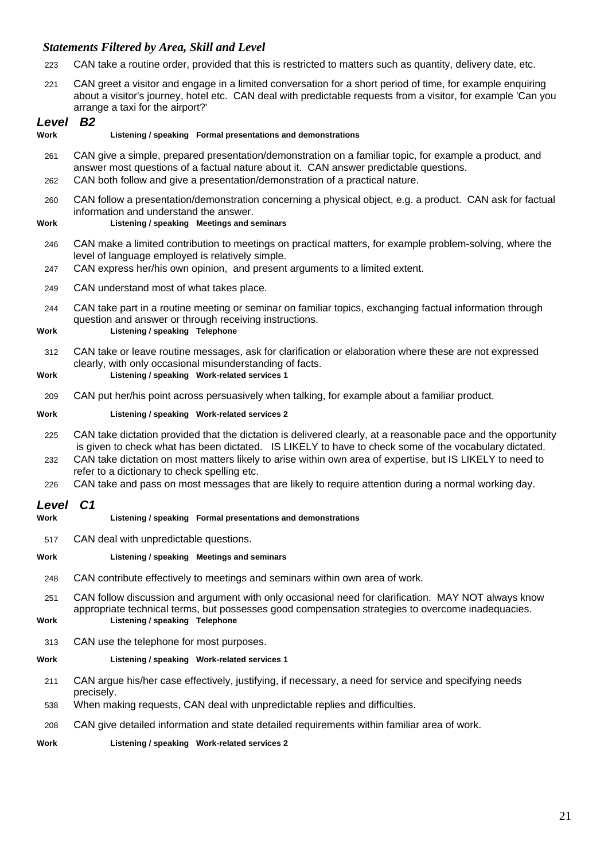- 223 CAN take a routine order, provided that this is restricted to matters such as quantity, delivery date, etc.
- 221 CAN greet a visitor and engage in a limited conversation for a short period of time, for example enquiring about a visitor's journey, hotel etc. CAN deal with predictable requests from a visitor, for example 'Can you arrange a taxi for the airport?'

| Level B <sub>2</sub><br>Work | Listening / speaking Formal presentations and demonstrations                                                                                                                                                                                                                                                                                                                                                                                                                                |
|------------------------------|---------------------------------------------------------------------------------------------------------------------------------------------------------------------------------------------------------------------------------------------------------------------------------------------------------------------------------------------------------------------------------------------------------------------------------------------------------------------------------------------|
| 261<br>262                   | CAN give a simple, prepared presentation/demonstration on a familiar topic, for example a product, and<br>answer most questions of a factual nature about it. CAN answer predictable questions.<br>CAN both follow and give a presentation/demonstration of a practical nature.                                                                                                                                                                                                             |
| 260<br>Work                  | CAN follow a presentation/demonstration concerning a physical object, e.g. a product. CAN ask for factual<br>information and understand the answer.<br>Listening / speaking Meetings and seminars                                                                                                                                                                                                                                                                                           |
| 246<br>247                   | CAN make a limited contribution to meetings on practical matters, for example problem-solving, where the<br>level of language employed is relatively simple.<br>CAN express her/his own opinion, and present arguments to a limited extent.                                                                                                                                                                                                                                                 |
| 249                          | CAN understand most of what takes place.                                                                                                                                                                                                                                                                                                                                                                                                                                                    |
| 244<br>Work                  | CAN take part in a routine meeting or seminar on familiar topics, exchanging factual information through<br>question and answer or through receiving instructions.<br>Listening / speaking Telephone                                                                                                                                                                                                                                                                                        |
| 312<br>Work                  | CAN take or leave routine messages, ask for clarification or elaboration where these are not expressed<br>clearly, with only occasional misunderstanding of facts.<br>Listening / speaking Work-related services 1                                                                                                                                                                                                                                                                          |
| 209                          | CAN put her/his point across persuasively when talking, for example about a familiar product.                                                                                                                                                                                                                                                                                                                                                                                               |
| Work                         | Listening / speaking Work-related services 2                                                                                                                                                                                                                                                                                                                                                                                                                                                |
| 225<br>232<br>226            | CAN take dictation provided that the dictation is delivered clearly, at a reasonable pace and the opportunity<br>is given to check what has been dictated. IS LIKELY to have to check some of the vocabulary dictated.<br>CAN take dictation on most matters likely to arise within own area of expertise, but IS LIKELY to need to<br>refer to a dictionary to check spelling etc.<br>CAN take and pass on most messages that are likely to require attention during a normal working day. |
| Level<br>Work                | C <sub>1</sub><br>Listening / speaking Formal presentations and demonstrations                                                                                                                                                                                                                                                                                                                                                                                                              |
| 517                          | CAN deal with unpredictable questions.                                                                                                                                                                                                                                                                                                                                                                                                                                                      |
| Work                         | Listening / speaking Meetings and seminars                                                                                                                                                                                                                                                                                                                                                                                                                                                  |
| 248                          | CAN contribute effectively to meetings and seminars within own area of work.                                                                                                                                                                                                                                                                                                                                                                                                                |
| 251<br>Work                  | CAN follow discussion and argument with only occasional need for clarification. MAY NOT always know<br>appropriate technical terms, but possesses good compensation strategies to overcome inadequacies.<br>Listening / speaking Telephone                                                                                                                                                                                                                                                  |
| 313                          | CAN use the telephone for most purposes.                                                                                                                                                                                                                                                                                                                                                                                                                                                    |

**Work Listening / speaking Work-related services 1**

- 211 CAN argue his/her case effectively, justifying, if necessary, a need for service and specifying needs precisely.
- 538 When making requests, CAN deal with unpredictable replies and difficulties.
- 208 CAN give detailed information and state detailed requirements within familiar area of work.
- **Work Listening / speaking Work-related services 2**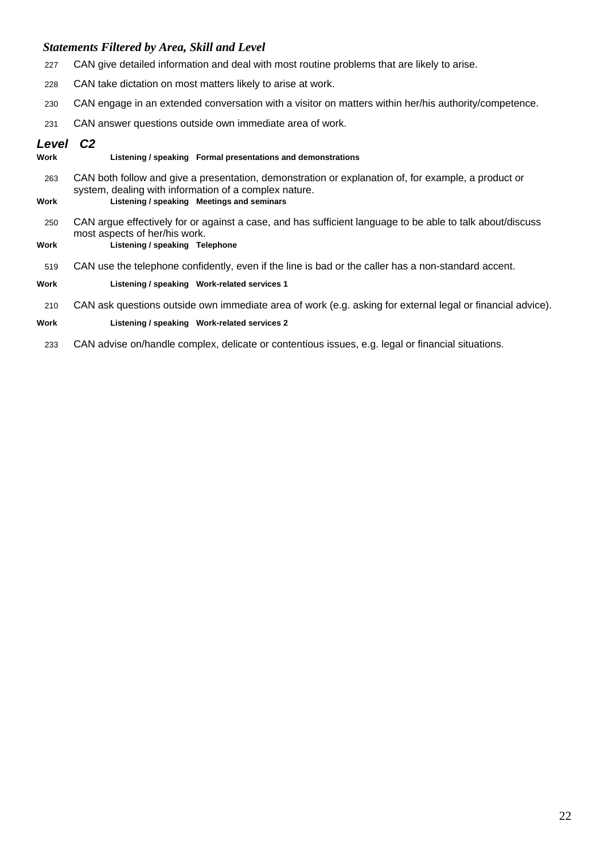- 227 CAN give detailed information and deal with most routine problems that are likely to arise.
- 228 CAN take dictation on most matters likely to arise at work.
- 230 CAN engage in an extended conversation with a visitor on matters within her/his authority/competence.
- 231 CAN answer questions outside own immediate area of work.

#### *Level C2*

- **Work Listening / speaking Formal presentations and demonstrations** 263 CAN both follow and give a presentation, demonstration or explanation of, for example, a product or system, dealing with information of a complex nature. **Work Listening / speaking Meetings and seminars** 250 CAN argue effectively for or against a case, and has sufficient language to be able to talk about/discuss
- 

most aspects of her/his work. **Work Listening / speaking Telephone**

519 CAN use the telephone confidently, even if the line is bad or the caller has a non-standard accent.

#### **Work Listening / speaking Work-related services 1**

210 CAN ask questions outside own immediate area of work (e.g. asking for external legal or financial advice).

#### **Work Listening / speaking Work-related services 2**

233 CAN advise on/handle complex, delicate or contentious issues, e.g. legal or financial situations.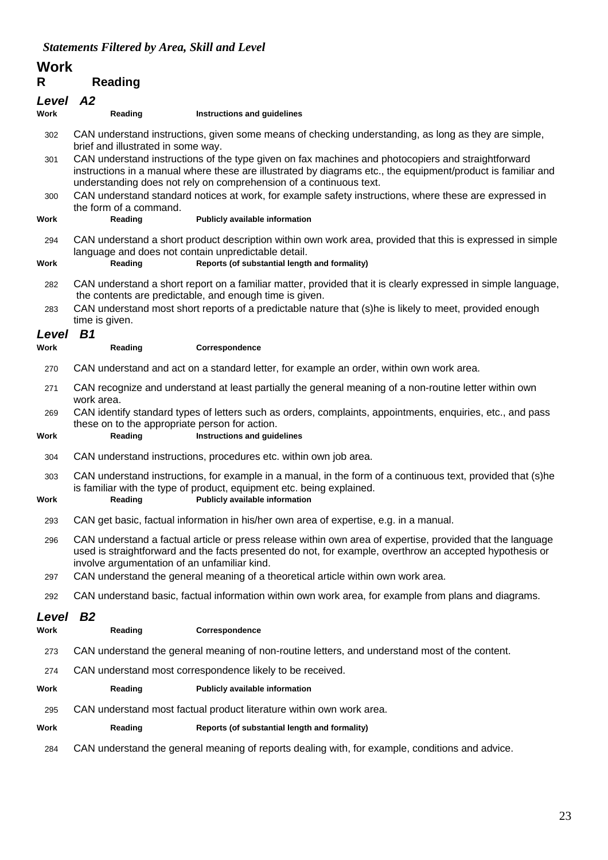## **Work**

## **R Reading**

| R             | <b>Reading</b>                                                                                                                                                                                                                                                                           |                                                                                                                                                                                                                        |  |
|---------------|------------------------------------------------------------------------------------------------------------------------------------------------------------------------------------------------------------------------------------------------------------------------------------------|------------------------------------------------------------------------------------------------------------------------------------------------------------------------------------------------------------------------|--|
| Level         | A2                                                                                                                                                                                                                                                                                       |                                                                                                                                                                                                                        |  |
| Work          | Reading                                                                                                                                                                                                                                                                                  | Instructions and guidelines                                                                                                                                                                                            |  |
| 302           | CAN understand instructions, given some means of checking understanding, as long as they are simple,<br>brief and illustrated in some way.                                                                                                                                               |                                                                                                                                                                                                                        |  |
| 301           | CAN understand instructions of the type given on fax machines and photocopiers and straightforward<br>instructions in a manual where these are illustrated by diagrams etc., the equipment/product is familiar and<br>understanding does not rely on comprehension of a continuous text. |                                                                                                                                                                                                                        |  |
| 300           | the form of a command.                                                                                                                                                                                                                                                                   | CAN understand standard notices at work, for example safety instructions, where these are expressed in                                                                                                                 |  |
| Work          | Reading                                                                                                                                                                                                                                                                                  | Publicly available information                                                                                                                                                                                         |  |
| 294           | CAN understand a short product description within own work area, provided that this is expressed in simple<br>language and does not contain unpredictable detail.                                                                                                                        |                                                                                                                                                                                                                        |  |
| Work          | Reading                                                                                                                                                                                                                                                                                  | Reports (of substantial length and formality)                                                                                                                                                                          |  |
| 282           | CAN understand a short report on a familiar matter, provided that it is clearly expressed in simple language,<br>the contents are predictable, and enough time is given.                                                                                                                 |                                                                                                                                                                                                                        |  |
| 283           | time is given.                                                                                                                                                                                                                                                                           | CAN understand most short reports of a predictable nature that (s)he is likely to meet, provided enough                                                                                                                |  |
| Level<br>Work | B <sub>1</sub><br>Reading                                                                                                                                                                                                                                                                | Correspondence                                                                                                                                                                                                         |  |
|               |                                                                                                                                                                                                                                                                                          |                                                                                                                                                                                                                        |  |
| 270           | CAN understand and act on a standard letter, for example an order, within own work area.                                                                                                                                                                                                 |                                                                                                                                                                                                                        |  |
| 271           | CAN recognize and understand at least partially the general meaning of a non-routine letter within own<br>work area.                                                                                                                                                                     |                                                                                                                                                                                                                        |  |
| 269<br>Work   | CAN identify standard types of letters such as orders, complaints, appointments, enquiries, etc., and pass<br>these on to the appropriate person for action.<br>Instructions and guidelines<br>Reading                                                                                   |                                                                                                                                                                                                                        |  |
| 304           | CAN understand instructions, procedures etc. within own job area.                                                                                                                                                                                                                        |                                                                                                                                                                                                                        |  |
| 303<br>Work   | Reading                                                                                                                                                                                                                                                                                  | CAN understand instructions, for example in a manual, in the form of a continuous text, provided that (s)he<br>is familiar with the type of product, equipment etc. being explained.<br>Publicly available information |  |
| 293           |                                                                                                                                                                                                                                                                                          | CAN get basic, factual information in his/her own area of expertise, e.g. in a manual.                                                                                                                                 |  |
| 296           | CAN understand a factual article or press release within own area of expertise, provided that the language<br>used is straightforward and the facts presented do not, for example, overthrow an accepted hypothesis or<br>involve argumentation of an unfamiliar kind.                   |                                                                                                                                                                                                                        |  |
| 297           |                                                                                                                                                                                                                                                                                          | CAN understand the general meaning of a theoretical article within own work area.                                                                                                                                      |  |
| 292           | CAN understand basic, factual information within own work area, for example from plans and diagrams.                                                                                                                                                                                     |                                                                                                                                                                                                                        |  |
| Level<br>Work | <b>B2</b><br>Reading                                                                                                                                                                                                                                                                     | Correspondence                                                                                                                                                                                                         |  |
| 273           |                                                                                                                                                                                                                                                                                          | CAN understand the general meaning of non-routine letters, and understand most of the content.                                                                                                                         |  |
| 274           | CAN understand most correspondence likely to be received.                                                                                                                                                                                                                                |                                                                                                                                                                                                                        |  |
| Work          | Reading                                                                                                                                                                                                                                                                                  | Publicly available information                                                                                                                                                                                         |  |
| 295           |                                                                                                                                                                                                                                                                                          | CAN understand most factual product literature within own work area.                                                                                                                                                   |  |
| Work          | Reading                                                                                                                                                                                                                                                                                  | Reports (of substantial length and formality)                                                                                                                                                                          |  |
|               |                                                                                                                                                                                                                                                                                          |                                                                                                                                                                                                                        |  |

284 CAN understand the general meaning of reports dealing with, for example, conditions and advice.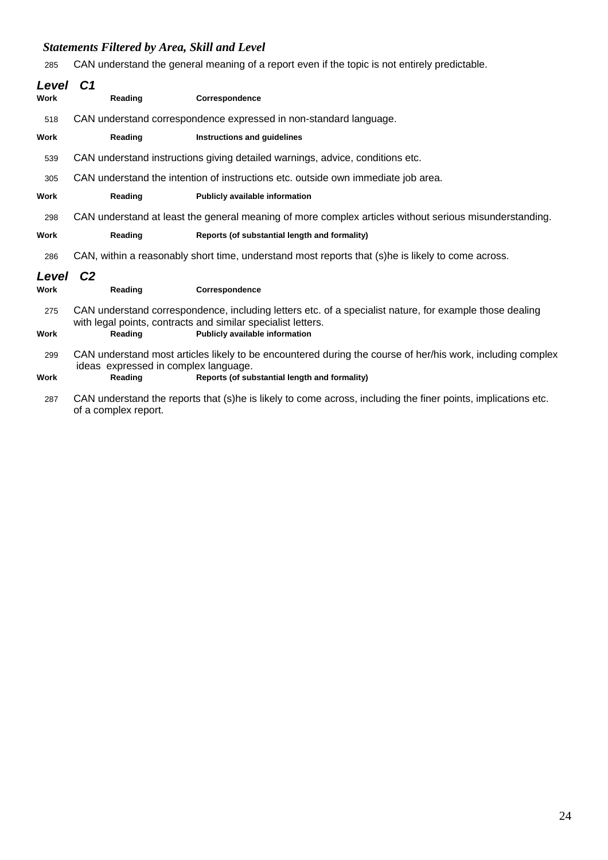285 CAN understand the general meaning of a report even if the topic is not entirely predictable.

| Level       | C <sub>1</sub>                                                                                                                                                          |                                                                                                               |  |
|-------------|-------------------------------------------------------------------------------------------------------------------------------------------------------------------------|---------------------------------------------------------------------------------------------------------------|--|
| <b>Work</b> | Reading                                                                                                                                                                 | Correspondence                                                                                                |  |
| 518         | CAN understand correspondence expressed in non-standard language.                                                                                                       |                                                                                                               |  |
| <b>Work</b> | Reading                                                                                                                                                                 | Instructions and guidelines                                                                                   |  |
| 539         | CAN understand instructions giving detailed warnings, advice, conditions etc.                                                                                           |                                                                                                               |  |
| 305         | CAN understand the intention of instructions etc. outside own immediate job area.                                                                                       |                                                                                                               |  |
| Work        | Reading                                                                                                                                                                 | Publicly available information                                                                                |  |
| 298         | CAN understand at least the general meaning of more complex articles without serious misunderstanding.                                                                  |                                                                                                               |  |
| Work        | Reading                                                                                                                                                                 | Reports (of substantial length and formality)                                                                 |  |
| 286         | CAN, within a reasonably short time, understand most reports that (s)he is likely to come across.                                                                       |                                                                                                               |  |
| Level       | C <sub>2</sub>                                                                                                                                                          |                                                                                                               |  |
| <b>Work</b> | Reading                                                                                                                                                                 | Correspondence                                                                                                |  |
| 275         | CAN understand correspondence, including letters etc. of a specialist nature, for example those dealing<br>with legal points, contracts and similar specialist letters. |                                                                                                               |  |
| Work        | Reading                                                                                                                                                                 | Publicly available information                                                                                |  |
| 299         | CAN understand most articles likely to be encountered during the course of her/his work, including complex<br>ideas expressed in complex language.                      |                                                                                                               |  |
| Work        | Reading                                                                                                                                                                 | Reports (of substantial length and formality)                                                                 |  |
| 287         | of a complex report.                                                                                                                                                    | CAN understand the reports that (s)he is likely to come across, including the finer points, implications etc. |  |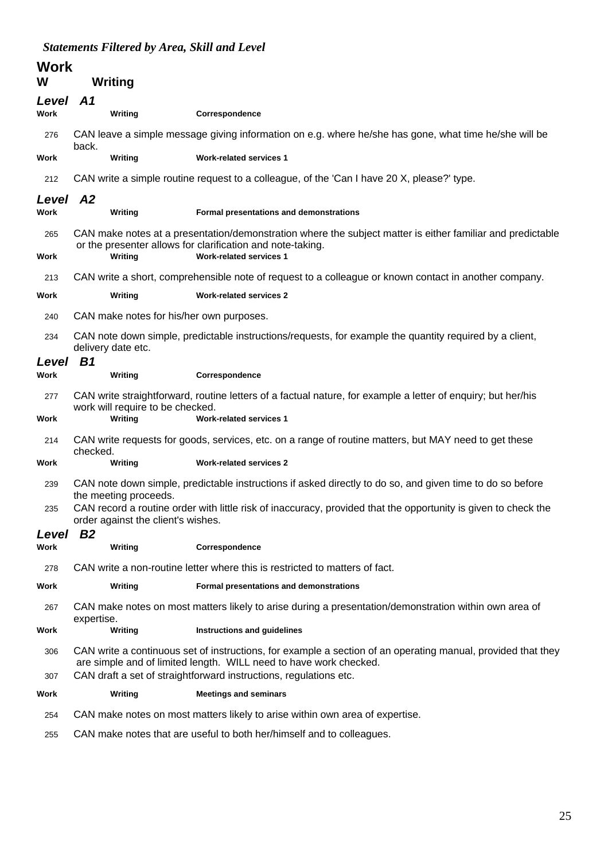| <b>Work</b><br>W | Writing                                                                                                                                                                                                                                                |                                                                                                       |  |
|------------------|--------------------------------------------------------------------------------------------------------------------------------------------------------------------------------------------------------------------------------------------------------|-------------------------------------------------------------------------------------------------------|--|
| Level A1         |                                                                                                                                                                                                                                                        |                                                                                                       |  |
| Work             | Writing                                                                                                                                                                                                                                                | Correspondence                                                                                        |  |
| 276              | CAN leave a simple message giving information on e.g. where he/she has gone, what time he/she will be<br>back.                                                                                                                                         |                                                                                                       |  |
| Work             | Writing                                                                                                                                                                                                                                                | <b>Work-related services 1</b>                                                                        |  |
| 212              | CAN write a simple routine request to a colleague, of the 'Can I have 20 X, please?' type.                                                                                                                                                             |                                                                                                       |  |
| Level A2<br>Work | Writing                                                                                                                                                                                                                                                | Formal presentations and demonstrations                                                               |  |
| 265<br>Work      | CAN make notes at a presentation/demonstration where the subject matter is either familiar and predictable<br>or the presenter allows for clarification and note-taking.<br>Writing<br><b>Work-related services 1</b>                                  |                                                                                                       |  |
| 213              | CAN write a short, comprehensible note of request to a colleague or known contact in another company.                                                                                                                                                  |                                                                                                       |  |
| Work             | Writing                                                                                                                                                                                                                                                | <b>Work-related services 2</b>                                                                        |  |
| 240              | CAN make notes for his/her own purposes.                                                                                                                                                                                                               |                                                                                                       |  |
| 234              | CAN note down simple, predictable instructions/requests, for example the quantity required by a client,<br>delivery date etc.                                                                                                                          |                                                                                                       |  |
| Level<br>Work    | B <sub>1</sub><br>Writing                                                                                                                                                                                                                              | Correspondence                                                                                        |  |
| 277              | CAN write straightforward, routine letters of a factual nature, for example a letter of enquiry; but her/his<br>work will require to be checked.                                                                                                       |                                                                                                       |  |
| Work             | Writing                                                                                                                                                                                                                                                | <b>Work-related services 1</b>                                                                        |  |
| 214              | checked.                                                                                                                                                                                                                                               | CAN write requests for goods, services, etc. on a range of routine matters, but MAY need to get these |  |
| Work             | Writing                                                                                                                                                                                                                                                | <b>Work-related services 2</b>                                                                        |  |
| 239              | CAN note down simple, predictable instructions if asked directly to do so, and given time to do so before<br>the meeting proceeds.                                                                                                                     |                                                                                                       |  |
| 235              | CAN record a routine order with little risk of inaccuracy, provided that the opportunity is given to check the<br>order against the client's wishes.                                                                                                   |                                                                                                       |  |
| Level            | B <sub>2</sub>                                                                                                                                                                                                                                         |                                                                                                       |  |
| Work             | Writing                                                                                                                                                                                                                                                | Correspondence                                                                                        |  |
| 278              |                                                                                                                                                                                                                                                        | CAN write a non-routine letter where this is restricted to matters of fact.                           |  |
| Work             | Writing                                                                                                                                                                                                                                                | Formal presentations and demonstrations                                                               |  |
| 267              | expertise.                                                                                                                                                                                                                                             | CAN make notes on most matters likely to arise during a presentation/demonstration within own area of |  |
| Work             | Writing                                                                                                                                                                                                                                                | Instructions and guidelines                                                                           |  |
| 306<br>307       | CAN write a continuous set of instructions, for example a section of an operating manual, provided that they<br>are simple and of limited length. WILL need to have work checked.<br>CAN draft a set of straightforward instructions, regulations etc. |                                                                                                       |  |
| Work             | Writing                                                                                                                                                                                                                                                | <b>Meetings and seminars</b>                                                                          |  |
| 254              |                                                                                                                                                                                                                                                        | CAN make notes on most matters likely to arise within own area of expertise.                          |  |
| 255              |                                                                                                                                                                                                                                                        | CAN make notes that are useful to both her/himself and to colleagues.                                 |  |